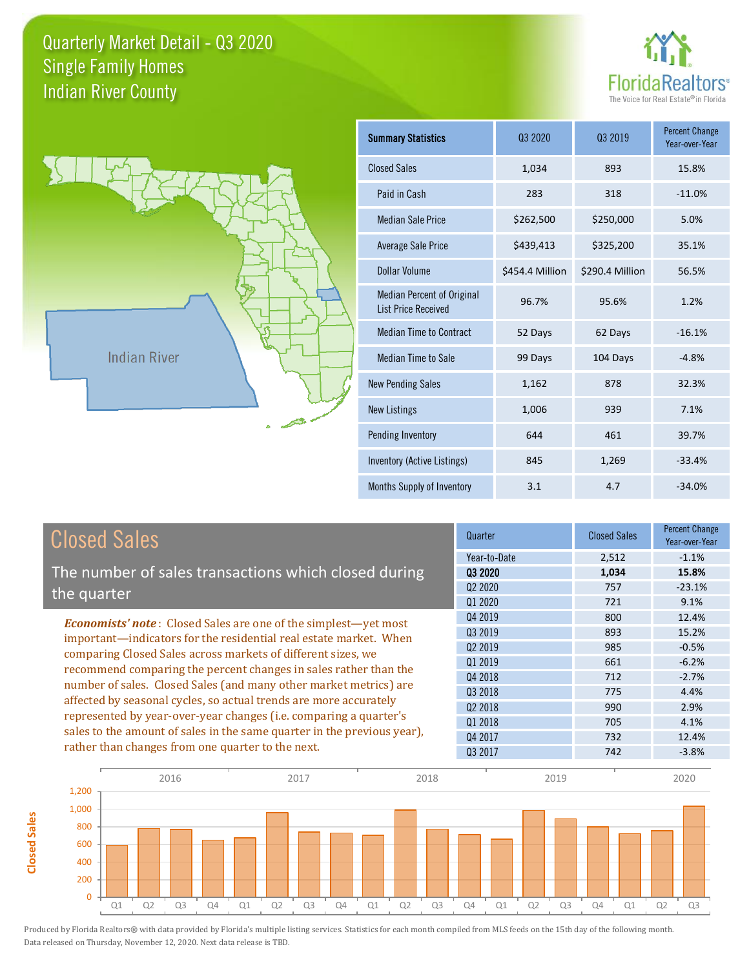



**Closed Sales**

**Closed Sales** 

| <b>Summary Statistics</b>                                       | 03 2020         | 03 2019         | <b>Percent Change</b><br>Year-over-Year |
|-----------------------------------------------------------------|-----------------|-----------------|-----------------------------------------|
| <b>Closed Sales</b>                                             | 1,034           | 893             | 15.8%                                   |
| Paid in Cash                                                    | 283             | 318             | $-11.0%$                                |
| <b>Median Sale Price</b>                                        | \$262,500       | \$250,000       | 5.0%                                    |
| Average Sale Price                                              | \$439,413       | \$325,200       | 35.1%                                   |
| Dollar Volume                                                   | \$454.4 Million | \$290.4 Million | 56.5%                                   |
| <b>Median Percent of Original</b><br><b>List Price Received</b> | 96.7%           | 95.6%           | 1.2%                                    |
| <b>Median Time to Contract</b>                                  | 52 Days         | 62 Days         | $-16.1%$                                |
| <b>Median Time to Sale</b>                                      | 99 Days         | 104 Days        | $-4.8%$                                 |
| <b>New Pending Sales</b>                                        | 1,162           | 878             | 32.3%                                   |
| <b>New Listings</b>                                             | 1,006           | 939             | 7.1%                                    |
| Pending Inventory                                               | 644             | 461             | 39.7%                                   |
| Inventory (Active Listings)                                     | 845             | 1,269           | $-33.4%$                                |
| Months Supply of Inventory                                      | 3.1             | 4.7             | $-34.0%$                                |

| <b>Closed Sales</b>                                                                                                                   | Quarter             | <b>Closed Sales</b> | <b>Percent Change</b><br>Year-over-Year |
|---------------------------------------------------------------------------------------------------------------------------------------|---------------------|---------------------|-----------------------------------------|
|                                                                                                                                       | Year-to-Date        | 2,512               | $-1.1%$                                 |
| The number of sales transactions which closed during                                                                                  | 03 2020             | 1,034               | 15.8%                                   |
| the quarter                                                                                                                           | Q <sub>2</sub> 2020 | 757                 | $-23.1%$                                |
|                                                                                                                                       | Q1 2020             | 721                 | 9.1%                                    |
| <b>Economists' note:</b> Closed Sales are one of the simplest—yet most                                                                | Q4 2019             | 800                 | 12.4%                                   |
| important—indicators for the residential real estate market. When                                                                     | Q3 2019             | 893                 | 15.2%                                   |
| comparing Closed Sales across markets of different sizes, we                                                                          | 02 2019             | 985                 | $-0.5%$                                 |
| recommend comparing the percent changes in sales rather than the<br>number of sales. Closed Sales (and many other market metrics) are | Q1 2019             | 661                 | $-6.2%$                                 |
|                                                                                                                                       | Q4 2018             | 712                 | $-2.7%$                                 |
|                                                                                                                                       | Q3 2018             | 775                 | 4.4%                                    |
| affected by seasonal cycles, so actual trends are more accurately                                                                     | 02 2018             | 990                 | 2.9%                                    |
| represented by year-over-year changes (i.e. comparing a quarter's                                                                     | 01 2018             | 705                 | 4.1%                                    |
| sales to the amount of sales in the same quarter in the previous year),<br>rather than changes from one quarter to the next.          | Q4 2017             | 732                 | 12.4%                                   |
|                                                                                                                                       | Q3 2017             | 742                 | $-3.8%$                                 |

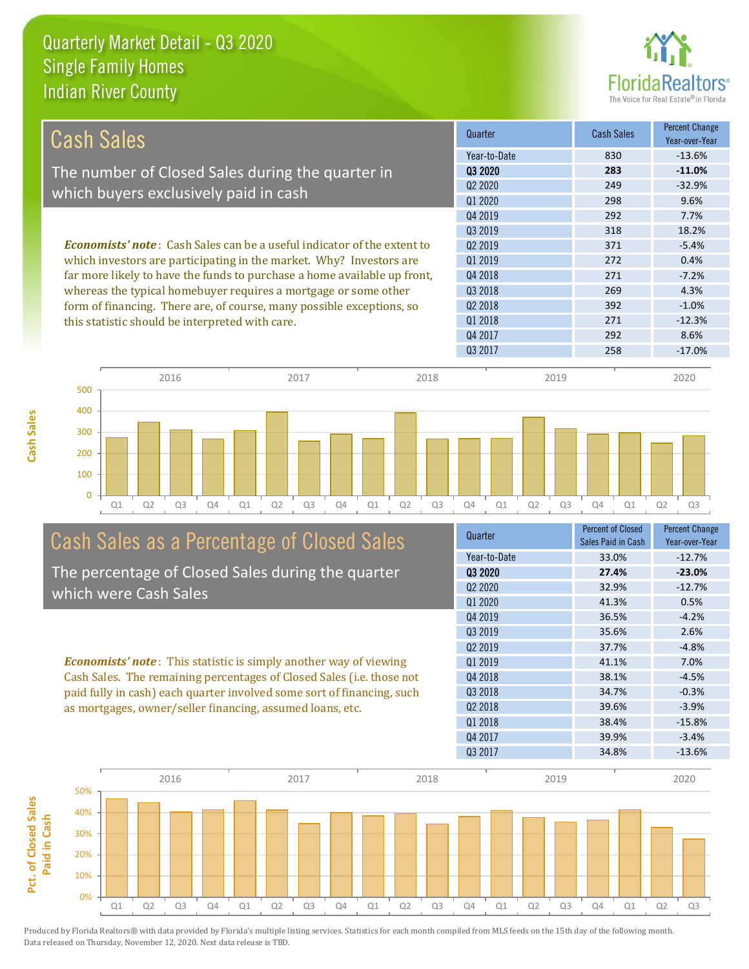

| Cash Sales                                                                                                                                                                                                                         | Quarter                         | Cash Sales | <b>Percent Change</b><br>Year-over-Year |
|------------------------------------------------------------------------------------------------------------------------------------------------------------------------------------------------------------------------------------|---------------------------------|------------|-----------------------------------------|
|                                                                                                                                                                                                                                    | Year-to-Date                    | 830        | $-13.6%$                                |
| The number of Closed Sales during the quarter in                                                                                                                                                                                   | 03 2020                         | 283        | $-11.0\%$                               |
|                                                                                                                                                                                                                                    | Q <sub>2</sub> 20 <sub>20</sub> | 249        | $-32.9%$                                |
| which buyers exclusively paid in cash                                                                                                                                                                                              | 01 2020                         | 298        | 9.6%                                    |
|                                                                                                                                                                                                                                    | Q4 2019                         | 292        | 7.7%                                    |
|                                                                                                                                                                                                                                    | 03 2019                         | 318        | 18.2%                                   |
| <b>Economists' note</b> : Cash Sales can be a useful indicator of the extent to<br>which investors are participating in the market. Why? Investors are<br>far more likely to have the funds to purchase a home available up front, | 02 2019                         | 371        | $-5.4%$                                 |
|                                                                                                                                                                                                                                    | 01 2019                         | 272        | 0.4%                                    |
|                                                                                                                                                                                                                                    | Q4 2018                         | 271        | $-7.2%$                                 |
| whereas the typical homebuyer requires a mortgage or some other                                                                                                                                                                    | 03 2018                         | 269        | 4.3%                                    |
| form of financing. There are, of course, many possible exceptions, so<br>this statistic should be interpreted with care.                                                                                                           | Q <sub>2</sub> 2018             | 392        | $-1.0%$                                 |
|                                                                                                                                                                                                                                    | Q1 2018                         | 271        | $-12.3%$                                |
|                                                                                                                                                                                                                                    | Q4 2017                         | 292        | 8.6%                                    |
|                                                                                                                                                                                                                                    | Q3 2017                         | 258        | $-17.0%$                                |



## Cash Sales as a Percentage of Closed Sales

The percentage of Closed Sales during the quarter which were Cash Sales

*Economists' note* : This statistic is simply another way of viewing Cash Sales. The remaining percentages of Closed Sales (i.e. those not paid fully in cash) each quarter involved some sort of financing, such as mortgages, owner/seller financing, assumed loans, etc.

| Quarter                         | <b>Percent of Closed</b><br>Sales Paid in Cash | <b>Percent Change</b><br>Year-over-Year |
|---------------------------------|------------------------------------------------|-----------------------------------------|
| Year-to-Date                    | 33.0%                                          | $-12.7%$                                |
| 03 2020                         | 27.4%                                          | $-23.0%$                                |
| Q <sub>2</sub> 20 <sub>20</sub> | 32.9%                                          | $-12.7%$                                |
| Q1 2020                         | 41.3%                                          | 0.5%                                    |
| Q4 2019                         | 36.5%                                          | $-4.2%$                                 |
| 03 2019                         | 35.6%                                          | 2.6%                                    |
| Q <sub>2</sub> 2019             | 37.7%                                          | $-4.8%$                                 |
| Q1 2019                         | 41.1%                                          | 7.0%                                    |
| Q4 2018                         | 38.1%                                          | $-4.5%$                                 |
| Q3 2018                         | 34.7%                                          | $-0.3%$                                 |
| 02 2018                         | 39.6%                                          | $-3.9%$                                 |
| Q1 2018                         | 38.4%                                          | $-15.8%$                                |
| Q4 2017                         | 39.9%                                          | $-3.4%$                                 |
| Q3 2017                         | 34.8%                                          | $-13.6%$                                |
|                                 |                                                |                                         |

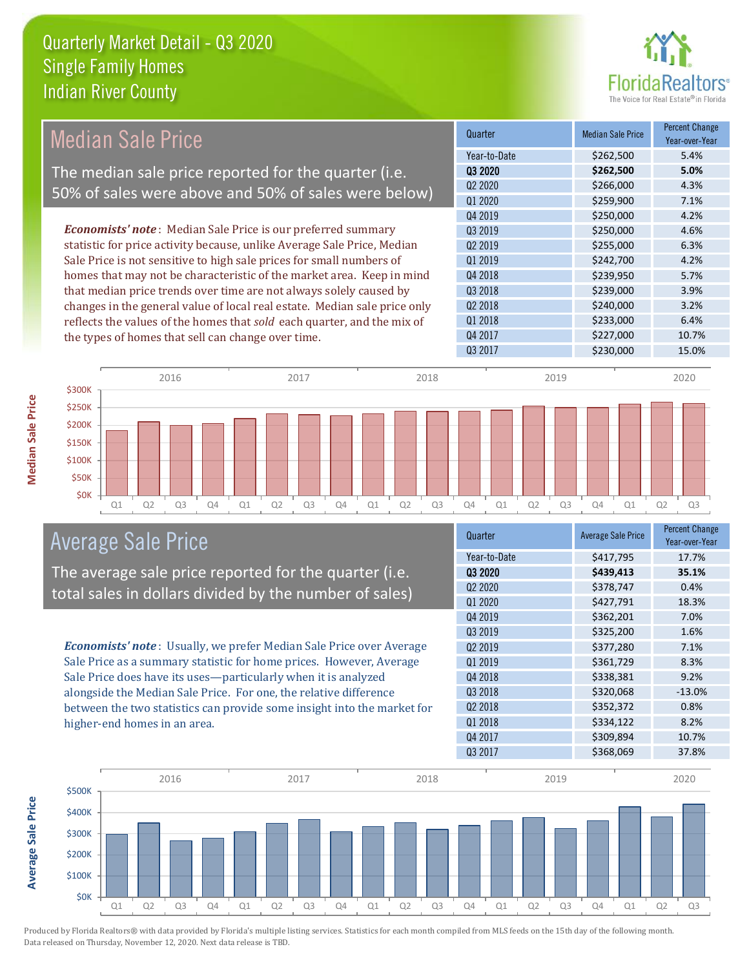

#### Quarter Median Sale Price Percent Change Year-over-Year Q3 2020 **\$262,500 5.0%** Year-to-Date \$262,500 5.4% Q4 2018 **\$239,950** \$239,950 Q2 2020 \$266,000 \$266,000 4.3% Q1 2020 \$259,900 7.1% Q2 2019 \$255,000 6.3% Q1 2019 **\$242,700** \$244,700 4.2% Q4 2019 \$250,000 \$250,000 4.2% Q3 2019 **\$250,000** \$250,000 4.6% Q3 2018 **\$239,000** \$239,000 3.9% Q2 2018 \$240,000 3.2% Q1 2018 **\$233,000** \$233,000 6.4% Q4 2017 \$227,000 10.7% Q3 2017 \$230,000 \$230,000 15.0% *Economists' note* : Median Sale Price is our preferred summary statistic for price activity because, unlike Average Sale Price, Median Sale Price is not sensitive to high sale prices for small numbers of homes that may not be characteristic of the market area. Keep in mind that median price trends over time are not always solely caused by changes in the general value of local real estate. Median sale price only reflects the values of the homes that *sold* each quarter, and the mix of the types of homes that sell can change over time. Median Sale Price The median sale price reported for the quarter (i.e. 50% of sales were above and 50% of sales were below)



#### Average Sale Price

The average sale price reported for the quarter (i.e. total sales in dollars divided by the number of sales)

*Economists' note* : Usually, we prefer Median Sale Price over Average Sale Price as a summary statistic for home prices. However, Average Sale Price does have its uses—particularly when it is analyzed alongside the Median Sale Price. For one, the relative difference between the two statistics can provide some insight into the market for higher-end homes in an area.

| Quarter                         | <b>Average Sale Price</b> | <b>Percent Change</b><br>Year-over-Year |
|---------------------------------|---------------------------|-----------------------------------------|
| Year-to-Date                    | \$417,795                 | 17.7%                                   |
| 03 2020                         | \$439,413                 | 35.1%                                   |
| Q <sub>2</sub> 20 <sub>20</sub> | \$378,747                 | 0.4%                                    |
| Q1 2020                         | \$427,791                 | 18.3%                                   |
| Q4 2019                         | \$362,201                 | 7.0%                                    |
| Q3 2019                         | \$325,200                 | 1.6%                                    |
| 02 2019                         | \$377,280                 | 7.1%                                    |
| Q1 2019                         | \$361,729                 | 8.3%                                    |
| Q4 2018                         | \$338,381                 | 9.2%                                    |
| Q3 2018                         | \$320,068                 | $-13.0%$                                |
| Q <sub>2</sub> 2018             | \$352,372                 | 0.8%                                    |
| Q1 2018                         | \$334,122                 | 8.2%                                    |
| Q4 2017                         | \$309,894                 | 10.7%                                   |
| Q3 2017                         | \$368,069                 | 37.8%                                   |



**Average Sale Price Average Sale Price**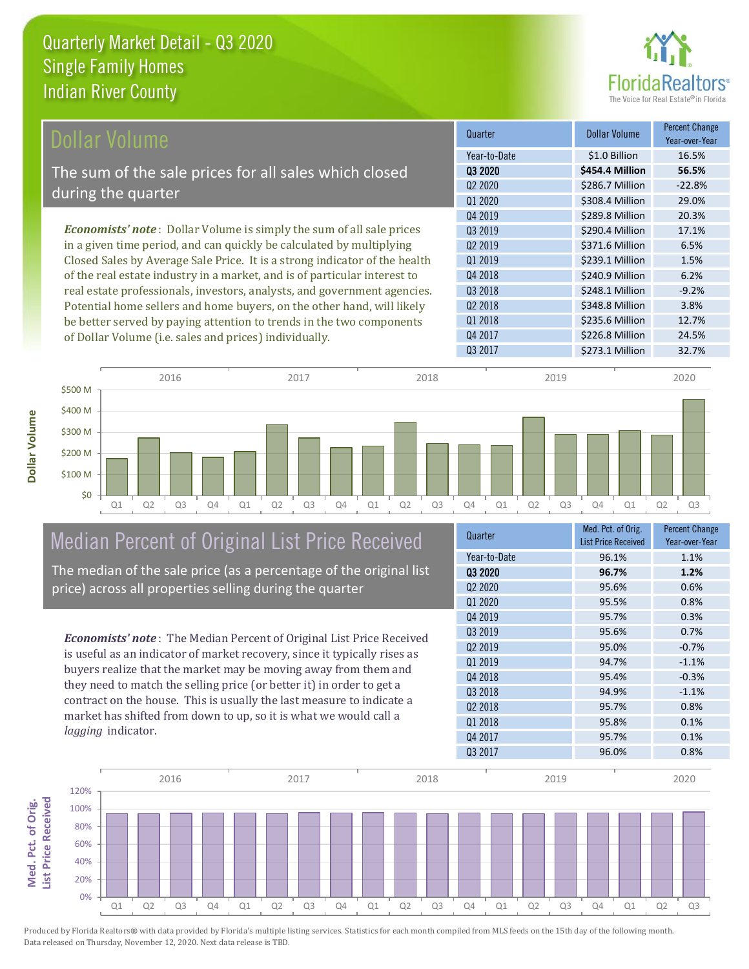

| Dollar Volume                                                               | Quarter             | Dollar Volume   | <b>Percent Change</b><br>Year-over-Year |
|-----------------------------------------------------------------------------|---------------------|-----------------|-----------------------------------------|
|                                                                             | Year-to-Date        | \$1.0 Billion   | 16.5%                                   |
| The sum of the sale prices for all sales which closed                       | 03 2020             | \$454.4 Million | 56.5%                                   |
| during the quarter                                                          | Q <sub>2</sub> 2020 | \$286.7 Million | $-22.8%$                                |
|                                                                             | Q1 2020             | \$308.4 Million | 29.0%                                   |
|                                                                             | Q4 2019             | \$289.8 Million | 20.3%                                   |
| <b>Economists' note:</b> Dollar Volume is simply the sum of all sale prices | 03 2019             | \$290.4 Million | 17.1%                                   |
| in a given time period, and can quickly be calculated by multiplying        | Q <sub>2</sub> 2019 | \$371.6 Million | 6.5%                                    |
| Closed Sales by Average Sale Price. It is a strong indicator of the health  | 01 2019             | \$239.1 Million | 1.5%                                    |
| of the real estate industry in a market, and is of particular interest to   | Q4 2018             | \$240.9 Million | 6.2%                                    |
| real estate professionals, investors, analysts, and government agencies.    | Q3 2018             | \$248.1 Million | $-9.2%$                                 |
| Potential home sellers and home buyers, on the other hand, will likely      | Q <sub>2</sub> 2018 | \$348.8 Million | 3.8%                                    |
| be better served by paying attention to trends in the two components        | Q1 2018             | \$235.6 Million | 12.7%                                   |

Q1 Q2 Q3 Q4 Q1 Q2 Q3 Q4 Q1 Q2 Q3 Q4 Q1 Q2 Q3 Q4 Q1 Q2 Q3 \$0 \$100 M \$200 M \$300 M \$400 M \$500 M 2016 2017 2018 2019 2020

### Median Percent of Original List Price Received The median of the sale price (as a percentage of the original list

of Dollar Volume (i.e. sales and prices) individually.

price) across all properties selling during the quarter

*Economists' note* : The Median Percent of Original List Price Received is useful as an indicator of market recovery, since it typically rises as buyers realize that the market may be moving away from them and they need to match the selling price (or better it) in order to get a contract on the house. This is usually the last measure to indicate a market has shifted from down to up, so it is what we would call a *lagging* indicator.

| Quarter                         | Med. Pct. of Orig.<br><b>List Price Received</b> | <b>Percent Change</b><br>Year-over-Year |
|---------------------------------|--------------------------------------------------|-----------------------------------------|
| Year-to-Date                    | 96.1%                                            | 1.1%                                    |
| 03 2020                         | 96.7%                                            | 1.2%                                    |
| Q <sub>2</sub> 20 <sub>20</sub> | 95.6%                                            | 0.6%                                    |
| Q1 2020                         | 95.5%                                            | 0.8%                                    |
| Q4 2019                         | 95.7%                                            | 0.3%                                    |
| Q3 2019                         | 95.6%                                            | 0.7%                                    |
| Q <sub>2</sub> 2019             | 95.0%                                            | $-0.7%$                                 |
| Q1 2019                         | 94.7%                                            | $-1.1%$                                 |
| Q4 2018                         | 95.4%                                            | $-0.3%$                                 |
| 03 2018                         | 94.9%                                            | $-1.1%$                                 |
| Q <sub>2</sub> 2018             | 95.7%                                            | 0.8%                                    |
| Q1 2018                         | 95.8%                                            | 0.1%                                    |
| Q4 2017                         | 95.7%                                            | 0.1%                                    |
| Q3 2017                         | 96.0%                                            | 0.8%                                    |

Q3 2017 \$273.1 Million 32.7%

Q4 2017 \$226.8 Million 24.5%

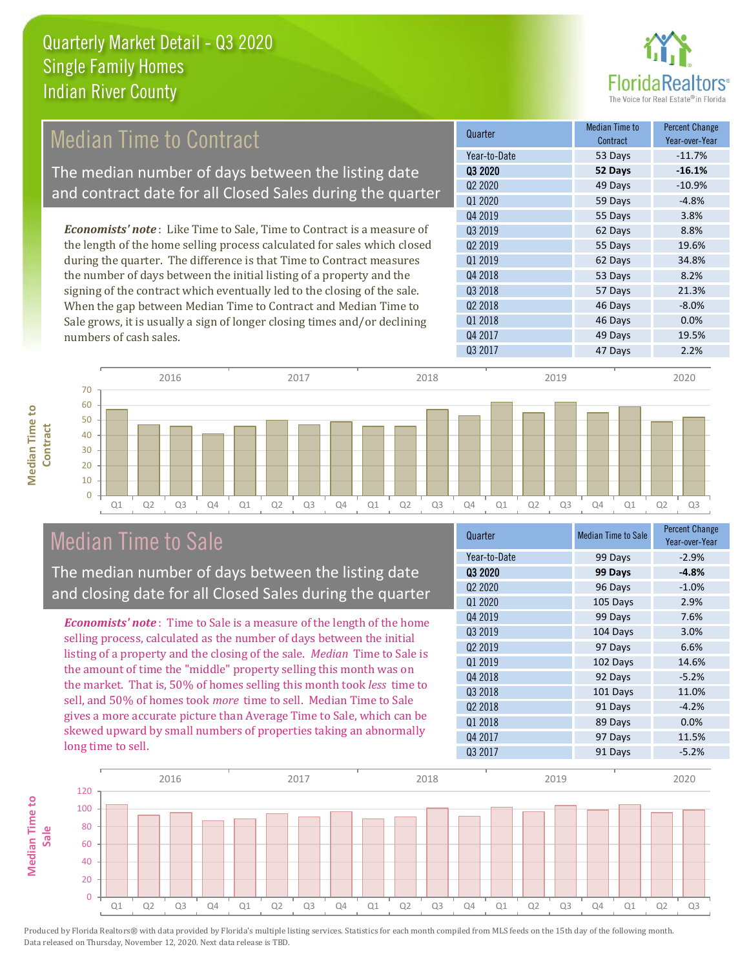

### Median Time to Contract

The median number of days between the listing date and contract date for all Closed Sales during the quarter

*Economists' note* : Like Time to Sale, Time to Contract is a measure of the length of the home selling process calculated for sales which closed during the quarter. The difference is that Time to Contract measures the number of days between the initial listing of a property and the signing of the contract which eventually led to the closing of the sale. When the gap between Median Time to Contract and Median Time to Sale grows, it is usually a sign of longer closing times and/or declining numbers of cash sales.

| Quarter                         | Median Time to<br>Contract | <b>Percent Change</b><br>Year-over-Year |
|---------------------------------|----------------------------|-----------------------------------------|
| Year-to-Date                    | 53 Days                    | $-11.7%$                                |
| 03 2020                         | 52 Days                    | $-16.1%$                                |
| Q <sub>2</sub> 20 <sub>20</sub> | 49 Days                    | $-10.9%$                                |
| Q1 2020                         | 59 Days                    | $-4.8%$                                 |
| Q4 2019                         | 55 Days                    | 3.8%                                    |
| 03 2019                         | 62 Days                    | 8.8%                                    |
| Q <sub>2</sub> 2019             | 55 Days                    | 19.6%                                   |
| 01 2019                         | 62 Days                    | 34.8%                                   |
| Q4 2018                         | 53 Days                    | 8.2%                                    |
| Q3 2018                         | 57 Days                    | 21.3%                                   |
| Q <sub>2</sub> 2018             | 46 Days                    | $-8.0%$                                 |
| Q1 2018                         | 46 Days                    | 0.0%                                    |
| Q4 2017                         | 49 Days                    | 19.5%                                   |
| Q3 2017                         | 47 Days                    | 2.2%                                    |



### Median Time to Sale

**Median Time to** 

**Median Time to** 

The median number of days between the listing date and closing date for all Closed Sales during the quarter

*Economists' note* : Time to Sale is a measure of the length of the home selling process, calculated as the number of days between the initial listing of a property and the closing of the sale. *Median* Time to Sale is the amount of time the "middle" property selling this month was on the market. That is, 50% of homes selling this month took *less* time to sell, and 50% of homes took *more* time to sell. Median Time to Sale gives a more accurate picture than Average Time to Sale, which can be skewed upward by small numbers of properties taking an abnormally long time to sell.

| Quarter                         | <b>Median Time to Sale</b> | <b>Percent Change</b><br>Year-over-Year |
|---------------------------------|----------------------------|-----------------------------------------|
| Year-to-Date                    | 99 Days                    | $-2.9%$                                 |
| 03 2020                         | 99 Days                    | $-4.8%$                                 |
| Q <sub>2</sub> 20 <sub>20</sub> | 96 Days                    | $-1.0%$                                 |
| Q1 2020                         | 105 Days                   | 2.9%                                    |
| Q4 2019                         | 99 Days                    | 7.6%                                    |
| 03 2019                         | 104 Days                   | 3.0%                                    |
| Q <sub>2</sub> 2019             | 97 Days                    | 6.6%                                    |
| Q1 2019                         | 102 Days                   | 14.6%                                   |
| Q4 2018                         | 92 Days                    | $-5.2%$                                 |
| Q3 2018                         | 101 Days                   | 11.0%                                   |
| Q <sub>2</sub> 2018             | 91 Days                    | $-4.2%$                                 |
| Q1 2018                         | 89 Days                    | 0.0%                                    |
| Q4 2017                         | 97 Days                    | 11.5%                                   |
| Q3 2017                         | 91 Days                    | $-5.2%$                                 |

![](_page_4_Figure_11.jpeg)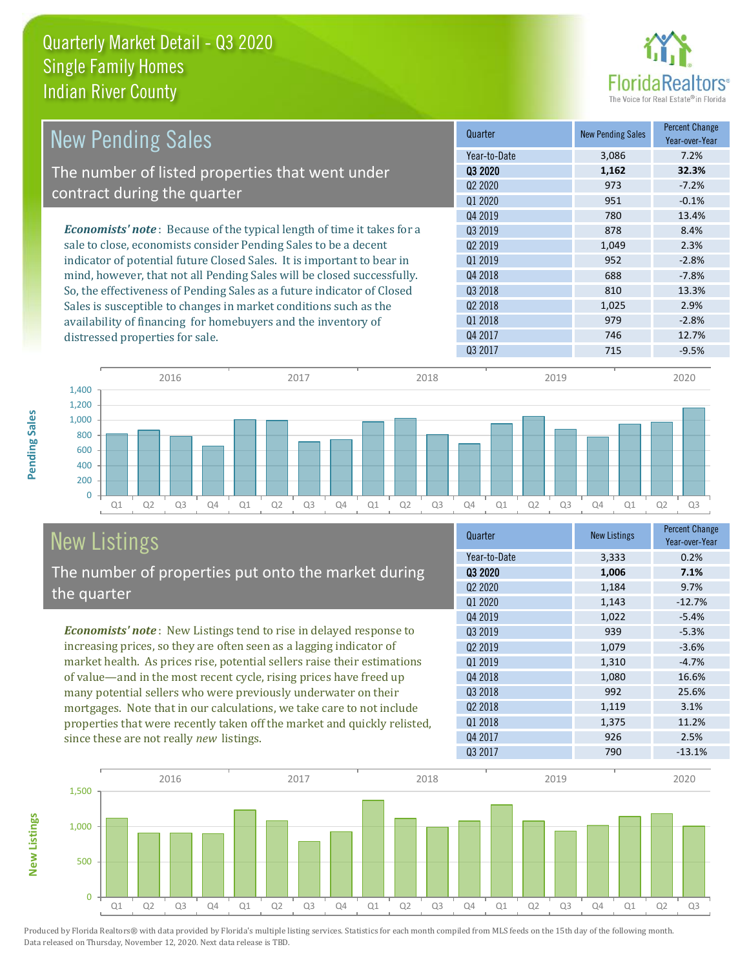![](_page_5_Picture_1.jpeg)

| <b>New Pending Sales</b>                                                      | Quarter             | <b>New Pending Sales</b> | <b>Percent Change</b><br>Year-over-Year |
|-------------------------------------------------------------------------------|---------------------|--------------------------|-----------------------------------------|
|                                                                               | Year-to-Date        | 3,086                    | 7.2%                                    |
| The number of listed properties that went under                               | 03 2020             | 1,162                    | 32.3%                                   |
| contract during the quarter                                                   | 02 2020             | 973                      | $-7.2%$                                 |
|                                                                               | Q1 2020             | 951                      | $-0.1%$                                 |
|                                                                               | 04 2019             | 780                      | 13.4%                                   |
| <b>Economists' note:</b> Because of the typical length of time it takes for a | Q3 2019             | 878                      | 8.4%                                    |
| sale to close, economists consider Pending Sales to be a decent               | 02 2019             | 1,049                    | 2.3%                                    |
| indicator of potential future Closed Sales. It is important to bear in        | 01 2019             | 952                      | $-2.8%$                                 |
| mind, however, that not all Pending Sales will be closed successfully.        | Q4 2018             | 688                      | $-7.8%$                                 |
| So, the effectiveness of Pending Sales as a future indicator of Closed        | Q3 2018             | 810                      | 13.3%                                   |
| Sales is susceptible to changes in market conditions such as the              | Q <sub>2</sub> 2018 | 1,025                    | 2.9%                                    |
| availability of financing for homebuyers and the inventory of                 | Q1 2018             | 979                      | $-2.8%$                                 |
| distressed properties for sale.                                               | Q4 2017             | 746                      | 12.7%                                   |
|                                                                               | 03 2017             | 715                      | $-9.5%$                                 |

![](_page_5_Figure_3.jpeg)

#### New Listings The number of properties put onto the market during the quarter

*Economists' note* : New Listings tend to rise in delayed response to increasing prices, so they are often seen as a lagging indicator of market health. As prices rise, potential sellers raise their estimations of value—and in the most recent cycle, rising prices have freed up many potential sellers who were previously underwater on their mortgages. Note that in our calculations, we take care to not include properties that were recently taken off the market and quickly relisted, since these are not really *new* listings.

| Quarter                         | <b>New Listings</b> | <b>Percent Change</b><br>Year-over-Year |
|---------------------------------|---------------------|-----------------------------------------|
| Year-to-Date                    | 3,333               | 0.2%                                    |
| 03 2020                         | 1,006               | 7.1%                                    |
| Q <sub>2</sub> 20 <sub>20</sub> | 1,184               | 9.7%                                    |
| Q1 2020                         | 1,143               | $-12.7%$                                |
| Q4 2019                         | 1,022               | $-5.4%$                                 |
| Q3 2019                         | 939                 | $-5.3%$                                 |
| 02 2019                         | 1,079               | $-3.6%$                                 |
| Q1 2019                         | 1,310               | $-4.7%$                                 |
| Q4 2018                         | 1,080               | 16.6%                                   |
| Q3 2018                         | 992                 | 25.6%                                   |
| Q <sub>2</sub> 2018             | 1,119               | 3.1%                                    |
| Q1 2018                         | 1,375               | 11.2%                                   |
| Q4 2017                         | 926                 | 2.5%                                    |
| Q3 2017                         | 790                 | $-13.1%$                                |

![](_page_5_Figure_7.jpeg)

Produced by Florida Realtors® with data provided by Florida's multiple listing services. Statistics for each month compiled from MLS feeds on the 15th day of the following month. Data released on Thursday, November 12, 2020. Next data release is TBD.

**New Listings**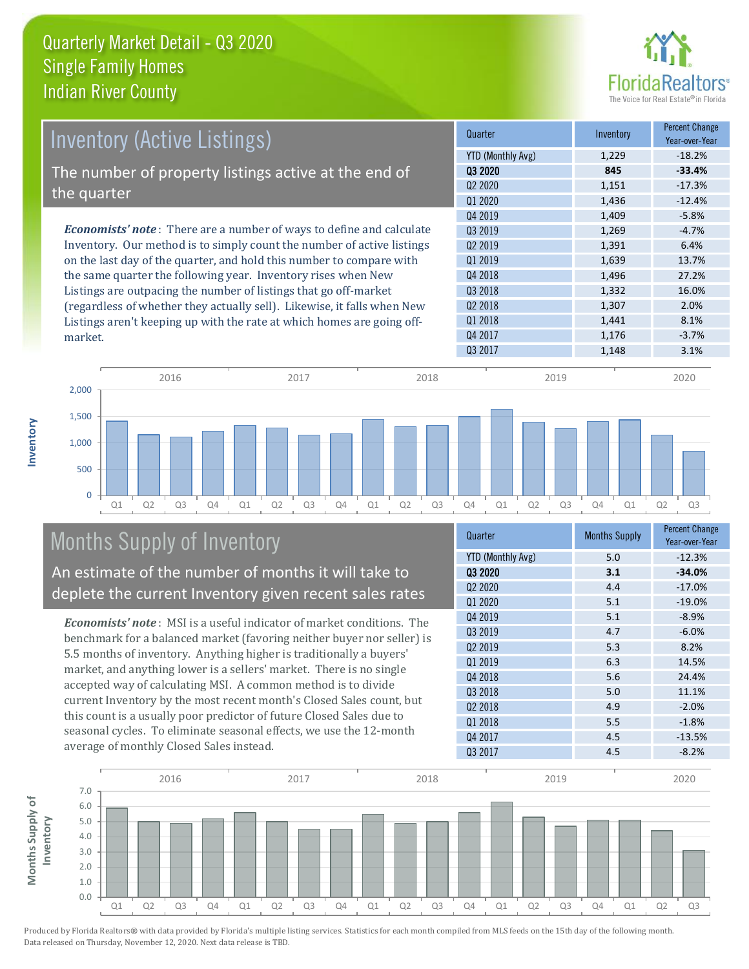![](_page_6_Picture_1.jpeg)

| <b>Inventory (Active Listings)</b>                                           | Quarter             | Inventory | <b>Percent Change</b><br>Year-over-Year |
|------------------------------------------------------------------------------|---------------------|-----------|-----------------------------------------|
|                                                                              | YTD (Monthly Avg)   | 1,229     | $-18.2%$                                |
| The number of property listings active at the end of                         | 03 2020             | 845       | $-33.4%$                                |
|                                                                              | 02 2020             | 1,151     | $-17.3%$                                |
| the quarter                                                                  | Q1 2020             | 1,436     | $-12.4%$                                |
|                                                                              | Q4 2019             | 1,409     | $-5.8%$                                 |
| <b>Economists' note</b> : There are a number of ways to define and calculate | 03 2019             | 1,269     | $-4.7%$                                 |
| Inventory. Our method is to simply count the number of active listings       | 02 2019             | 1,391     | 6.4%                                    |
| on the last day of the quarter, and hold this number to compare with         | 01 2019             | 1,639     | 13.7%                                   |
| the same quarter the following year. Inventory rises when New                | Q4 2018             | 1,496     | 27.2%                                   |
| Listings are outpacing the number of listings that go off-market             | Q3 2018             | 1,332     | 16.0%                                   |
| (regardless of whether they actually sell). Likewise, it falls when New      | Q <sub>2</sub> 2018 | 1,307     | 2.0%                                    |
| Listings aren't keeping up with the rate at which homes are going off-       | 01 2018             | 1,441     | 8.1%                                    |
| market                                                                       | Q4 2017             | 1,176     | $-3.7%$                                 |

![](_page_6_Figure_3.jpeg)

## Months Supply of Inventory

market.

**Inventory**

An estimate of the number of months it will take to deplete the current Inventory given recent sales rates

*Economists' note* : MSI is a useful indicator of market conditions. The benchmark for a balanced market (favoring neither buyer nor seller) is 5.5 months of inventory. Anything higher is traditionally a buyers' market, and anything lower is a sellers' market. There is no single accepted way of calculating MSI. A common method is to divide current Inventory by the most recent month's Closed Sales count, but this count is a usually poor predictor of future Closed Sales due to seasonal cycles. To eliminate seasonal effects, we use the 12-month average of monthly Closed Sales instead.

| Quarter                  | <b>Months Supply</b> | <b>Percent Change</b><br>Year-over-Year |
|--------------------------|----------------------|-----------------------------------------|
| <b>YTD (Monthly Avg)</b> | 5.0                  | $-12.3%$                                |
| Q3 2020                  | 3.1                  | $-34.0%$                                |
| Q2 2020                  | 4.4                  | $-17.0%$                                |
| Q1 2020                  | 5.1                  | $-19.0%$                                |
| Q4 2019                  | 5.1                  | $-8.9%$                                 |
| Q3 2019                  | 4.7                  | $-6.0%$                                 |
| Q <sub>2</sub> 2019      | 5.3                  | 8.2%                                    |
| 01 2019                  | 6.3                  | 14.5%                                   |
| Q4 2018                  | 5.6                  | 24.4%                                   |
| Q3 2018                  | 5.0                  | 11.1%                                   |
| Q2 2018                  | 4.9                  | $-2.0%$                                 |
| Q1 2018                  | 5.5                  | $-1.8%$                                 |
| Q4 2017                  | 4.5                  | $-13.5%$                                |
| Q3 2017                  | 4.5                  | $-8.2%$                                 |

![](_page_6_Figure_8.jpeg)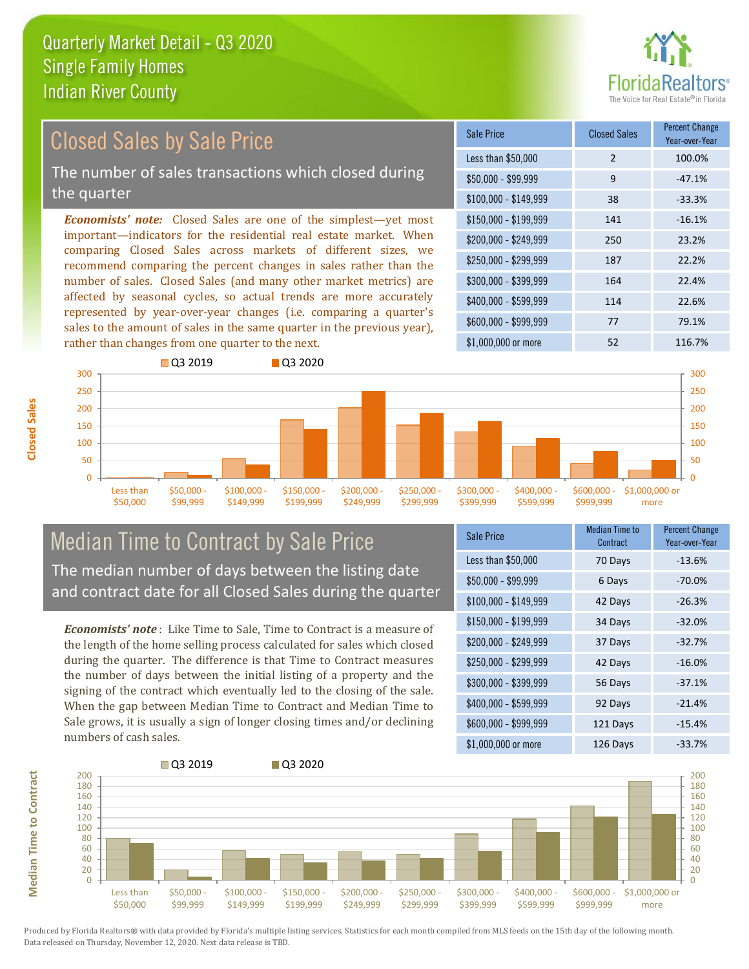![](_page_7_Picture_1.jpeg)

#### *Economists' note:* Closed Sales are one of the simplest—yet most important—indicators for the residential real estate market. When comparing Closed Sales across markets of different sizes, we recommend comparing the percent changes in sales rather than the number of sales. Closed Sales (and many other market metrics) are affected by seasonal cycles, so actual trends are more accurately represented by year-over-year changes (i.e. comparing a quarter's sales to the amount of sales in the same quarter in the previous year), rather than changes from one quarter to the next. \$1,000,000 or more 52 116.7% \$250,000 - \$299,999 187 22.2% \$300,000 - \$399,999 164 22.4% \$400,000 - \$599,999 114 22.6% \$600,000 - \$999,999 77 77 79.1%  $$150,000 - $199.999$  141  $-16.1\%$ \$200,000 - \$249,999 250 23.2%  $$100,000 - $149,999$  38 -33.3% Sale Price Closed Sales Percent Change Year-over-Year Less than \$50,000 2 100.0%  $$50,000 - $99,999$  9 -47.1% **Q3 2019** Q3 2020 Closed Sales by Sale Price The number of sales transactions which closed during the quarter

![](_page_7_Figure_3.jpeg)

#### Median Time to Contract by Sale Price The median number of days between the listing date and contract date for all Closed Sales during the quarter

*Economists' note* : Like Time to Sale, Time to Contract is a measure of the length of the home selling process calculated for sales which closed during the quarter. The difference is that Time to Contract measures the number of days between the initial listing of a property and the signing of the contract which eventually led to the closing of the sale. When the gap between Median Time to Contract and Median Time to Sale grows, it is usually a sign of longer closing times and/or declining numbers of cash sales.

| <b>Sale Price</b>     | Median Time to<br>Contract | <b>Percent Change</b><br>Year-over-Year |
|-----------------------|----------------------------|-----------------------------------------|
| Less than \$50,000    | 70 Days                    | $-13.6%$                                |
| $$50,000 - $99,999$   | 6 Days                     | $-70.0%$                                |
| $$100,000 - $149,999$ | 42 Days                    | $-26.3%$                                |
| $$150,000 - $199,999$ | 34 Days                    | $-32.0%$                                |
| \$200,000 - \$249,999 | 37 Days                    | $-32.7%$                                |
| \$250,000 - \$299,999 | 42 Days                    | $-16.0%$                                |
| \$300,000 - \$399,999 | 56 Days                    | $-37.1%$                                |
| \$400,000 - \$599,999 | 92 Days                    | $-21.4%$                                |
| \$600,000 - \$999,999 | 121 Days                   | $-15.4%$                                |
| \$1,000,000 or more   | 126 Days                   | $-33.7%$                                |

![](_page_7_Figure_7.jpeg)

**Closed Sales**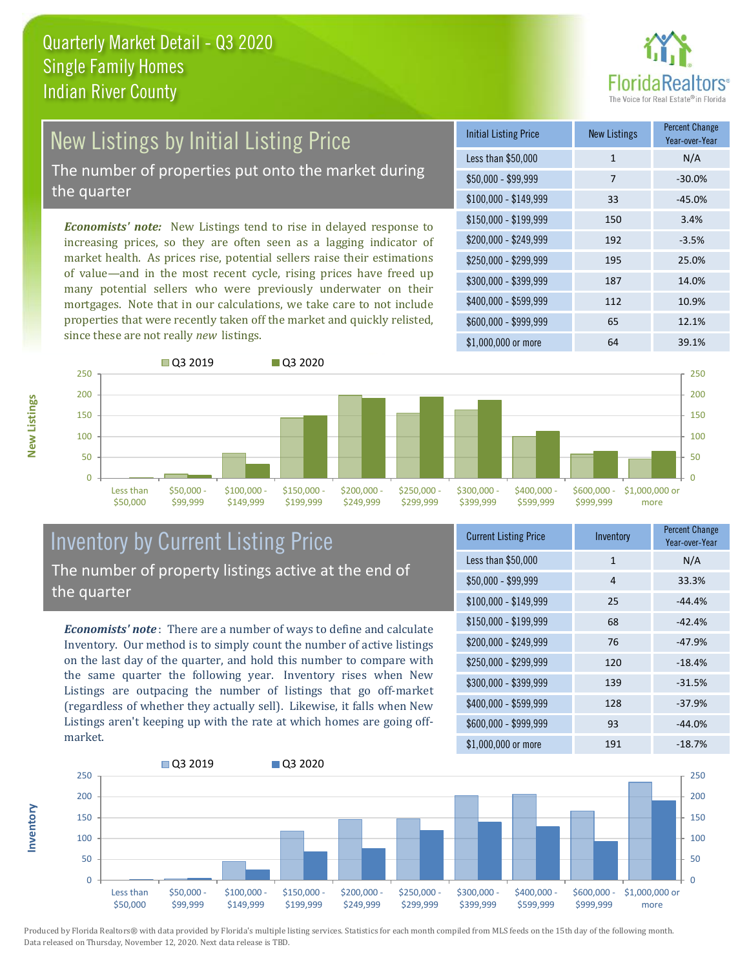![](_page_8_Picture_1.jpeg)

# New Listings by Initial Listing Price

The number of properties put onto the market during the quarter

*Economists' note:* New Listings tend to rise in delayed response to increasing prices, so they are often seen as a lagging indicator of market health. As prices rise, potential sellers raise their estimations of value—and in the most recent cycle, rising prices have freed up many potential sellers who were previously underwater on their mortgages. Note that in our calculations, we take care to not include properties that were recently taken off the market and quickly relisted, since these are not really *new* listings.

![](_page_8_Picture_5.jpeg)

![](_page_8_Figure_6.jpeg)

#### Inventory by Current Listing Price The number of property listings active at the end of the quarter

*Economists' note* : There are a number of ways to define and calculate Inventory. Our method is to simply count the number of active listings on the last day of the quarter, and hold this number to compare with the same quarter the following year. Inventory rises when New Listings are outpacing the number of listings that go off-market (regardless of whether they actually sell). Likewise, it falls when New Listings aren't keeping up with the rate at which homes are going offmarket.

| <b>Current Listing Price</b> | Inventory    | <b>Percent Change</b><br>Year-over-Year |
|------------------------------|--------------|-----------------------------------------|
| Less than \$50,000           | $\mathbf{1}$ | N/A                                     |
| $$50,000 - $99,999$          | 4            | 33.3%                                   |
| $$100,000 - $149,999$        | 25           | $-44.4%$                                |
| \$150,000 - \$199,999        | 68           | $-42.4%$                                |
| \$200,000 - \$249,999        | 76           | $-47.9%$                                |
| \$250,000 - \$299,999        | 120          | $-18.4%$                                |
| \$300,000 - \$399,999        | 139          | $-31.5%$                                |
| \$400,000 - \$599,999        | 128          | $-37.9%$                                |
| \$600,000 - \$999,999        | 93           | $-44.0%$                                |
| \$1,000,000 or more          | 191          | $-18.7%$                                |

![](_page_8_Figure_10.jpeg)

Produced by Florida Realtors® with data provided by Florida's multiple listing services. Statistics for each month compiled from MLS feeds on the 15th day of the following month. Data released on Thursday, November 12, 2020. Next data release is TBD.

**Inventory**